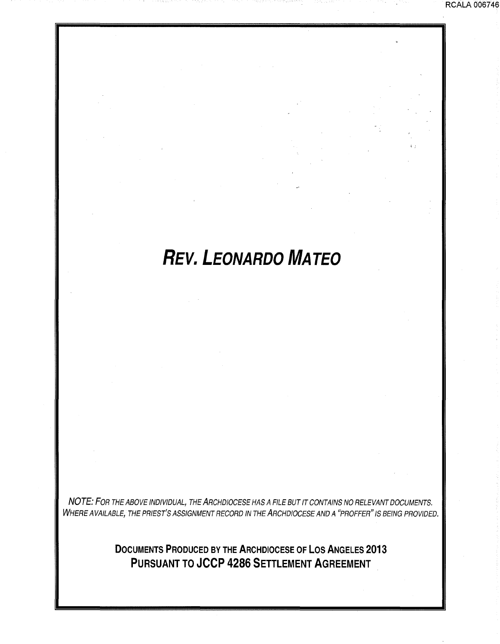# *REV. LEONARDO MATEO*

';

RCALA 0067 46

NOTE: FOR THE ABOVE INDIVIDUAL, THE ARCHDIOCESE HAS A FILE BUT IT CONTAINS NO RELEVANT DOCUMENTS. WHERE AVAILABLE, THE PRIEST'S ASSIGNMENT RECORD IN THE ARCHDIOCESE AND A "PROFFER" IS BEING PROVIDED.

> **DOCUMENTS PRODUCED BY THE ARCHDIOCESE OF LOS ANGELES 2013 PURSUANT TO JCCP 4286 SETTLEMENT AGREEMENT**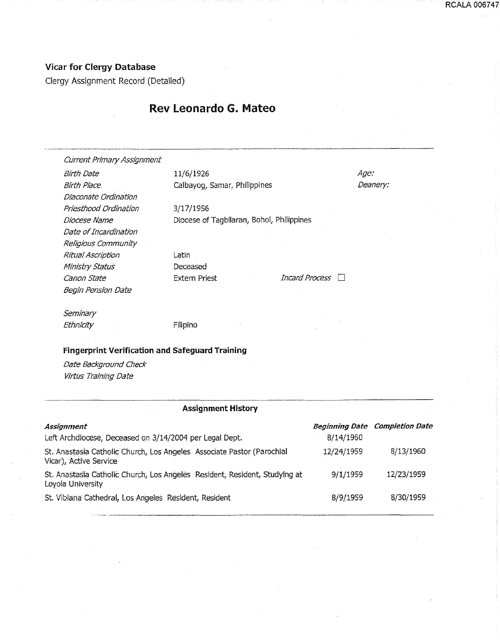## Vicar for Clergy Database

Clergy Assignment Record (Detailed)

## Rev leonardo G. Mateo

| <b>Current Primary Assignment</b>                      |                                           |                |                 |
|--------------------------------------------------------|-------------------------------------------|----------------|-----------------|
| Birth Date                                             | 11/6/1926                                 |                | <i>Age:</i>     |
| <b>Birth Place.</b>                                    | Calbayog, Samar, Philippines              |                | <i>Deanery:</i> |
| Diaconate Ordination                                   |                                           |                |                 |
| Priesthood Ordination                                  | 3/17/1956                                 |                |                 |
| Diocese Name                                           | Diocese of Tagbilaran, Bohol, Philippines |                |                 |
| Date of Incardination                                  |                                           |                |                 |
| Religious Community                                    |                                           |                |                 |
| Ritual Ascription                                      | Latin                                     |                |                 |
| Ministry Status                                        | Deceased                                  |                |                 |
| Canon State                                            | <b>Extern Priest</b>                      | Incard Process |                 |
| Begin Pension Date                                     |                                           |                |                 |
| Seminary                                               |                                           |                |                 |
| Ethnicity                                              | Filipino                                  |                |                 |
|                                                        |                                           |                |                 |
| <b>Fingerprint Verification and Safeguard Training</b> |                                           |                |                 |
| Date Background Check                                  |                                           |                |                 |

Virtus Training Date

### Assignment History

| <b>Assignment</b>                                                                                |            | <b>Beginning Date Completion Date</b> |
|--------------------------------------------------------------------------------------------------|------------|---------------------------------------|
| Left Archdiocese, Deceased on 3/14/2004 per Legal Dept.                                          | 8/14/1960  |                                       |
| St. Anastasia Catholic Church, Los Angeles Associate Pastor (Parochial<br>Vicar), Active Service | 12/24/1959 | 8/13/1960                             |
| St. Anastasia Catholic Church, Los Angeles Resident, Resident, Studying at<br>Loyola University  | 9/1/1959   | 12/23/1959                            |
| St. Vibiana Cathedral, Los Angeles Resident, Resident                                            | 8/9/1959   | 8/30/1959                             |

-·--·-··-··--·--··--·-------